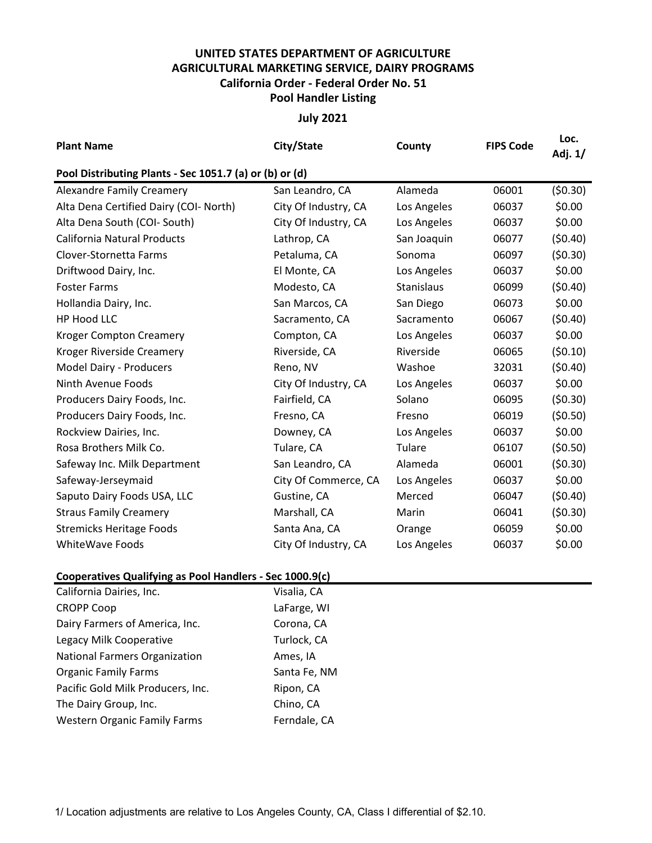## **UNITED STATES DEPARTMENT OF AGRICULTURE AGRICULTURAL MARKETING SERVICE, DAIRY PROGRAMS Pool Handler Listing California Order - Federal Order No. 51**

## **July 2021**

| <b>Plant Name</b>                                        | City/State           | County            | <b>FIPS Code</b> | Loc.<br>Adj. 1/ |  |  |  |  |  |
|----------------------------------------------------------|----------------------|-------------------|------------------|-----------------|--|--|--|--|--|
| Pool Distributing Plants - Sec 1051.7 (a) or (b) or (d)  |                      |                   |                  |                 |  |  |  |  |  |
| <b>Alexandre Family Creamery</b>                         | San Leandro, CA      | Alameda           | 06001            | (50.30)         |  |  |  |  |  |
| Alta Dena Certified Dairy (COI- North)                   | City Of Industry, CA | Los Angeles       | 06037            | \$0.00          |  |  |  |  |  |
| Alta Dena South (COI- South)                             | City Of Industry, CA | Los Angeles       | 06037            | \$0.00          |  |  |  |  |  |
| <b>California Natural Products</b>                       | Lathrop, CA          | San Joaquin       | 06077            | (50.40)         |  |  |  |  |  |
| Clover-Stornetta Farms                                   | Petaluma, CA         | Sonoma            | 06097            | (50.30)         |  |  |  |  |  |
| Driftwood Dairy, Inc.                                    | El Monte, CA         | Los Angeles       | 06037            | \$0.00          |  |  |  |  |  |
| <b>Foster Farms</b>                                      | Modesto, CA          | <b>Stanislaus</b> | 06099            | (50.40)         |  |  |  |  |  |
| Hollandia Dairy, Inc.                                    | San Marcos, CA       | San Diego         | 06073            | \$0.00          |  |  |  |  |  |
| <b>HP Hood LLC</b>                                       | Sacramento, CA       | Sacramento        | 06067            | (50.40)         |  |  |  |  |  |
| <b>Kroger Compton Creamery</b>                           | Compton, CA          | Los Angeles       | 06037            | \$0.00          |  |  |  |  |  |
| Kroger Riverside Creamery                                | Riverside, CA        | Riverside         | 06065            | (50.10)         |  |  |  |  |  |
| Model Dairy - Producers                                  | Reno, NV             | Washoe            | 32031            | (50.40)         |  |  |  |  |  |
| Ninth Avenue Foods                                       | City Of Industry, CA | Los Angeles       | 06037            | \$0.00          |  |  |  |  |  |
| Producers Dairy Foods, Inc.                              | Fairfield, CA        | Solano            | 06095            | (50.30)         |  |  |  |  |  |
| Producers Dairy Foods, Inc.                              | Fresno, CA           | Fresno            | 06019            | (50.50)         |  |  |  |  |  |
| Rockview Dairies, Inc.                                   | Downey, CA           | Los Angeles       | 06037            | \$0.00          |  |  |  |  |  |
| Rosa Brothers Milk Co.                                   | Tulare, CA           | Tulare            | 06107            | (50.50)         |  |  |  |  |  |
| Safeway Inc. Milk Department                             | San Leandro, CA      | Alameda           | 06001            | (50.30)         |  |  |  |  |  |
| Safeway-Jerseymaid                                       | City Of Commerce, CA | Los Angeles       | 06037            | \$0.00          |  |  |  |  |  |
| Saputo Dairy Foods USA, LLC                              | Gustine, CA          | Merced            | 06047            | (50.40)         |  |  |  |  |  |
| <b>Straus Family Creamery</b>                            | Marshall, CA         | Marin             | 06041            | (50.30)         |  |  |  |  |  |
| <b>Stremicks Heritage Foods</b>                          | Santa Ana, CA        | Orange            | 06059            | \$0.00          |  |  |  |  |  |
| <b>WhiteWave Foods</b>                                   | City Of Industry, CA | Los Angeles       | 06037            | \$0.00          |  |  |  |  |  |
| Cooperatives Qualifying as Pool Handlers - Sec 1000.9(c) |                      |                   |                  |                 |  |  |  |  |  |

| California Dairies, Inc.             | Visalia, CA  |
|--------------------------------------|--------------|
| <b>CROPP Coop</b>                    | LaFarge, WI  |
| Dairy Farmers of America, Inc.       | Corona, CA   |
| Legacy Milk Cooperative              | Turlock, CA  |
| <b>National Farmers Organization</b> | Ames, IA     |
| <b>Organic Family Farms</b>          | Santa Fe, NM |
| Pacific Gold Milk Producers, Inc.    | Ripon, CA    |
| The Dairy Group, Inc.                | Chino, CA    |
| <b>Western Organic Family Farms</b>  | Ferndale, CA |